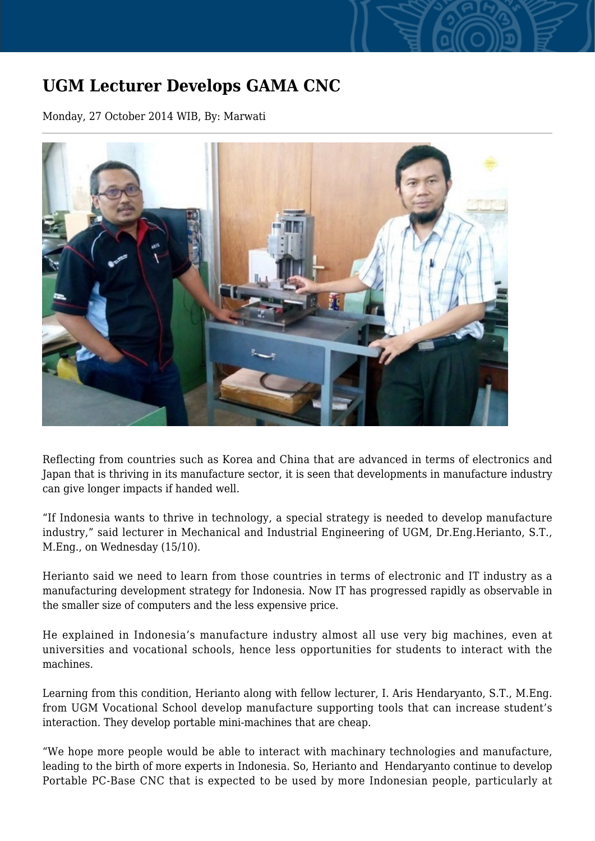## **UGM Lecturer Develops GAMA CNC**

Monday, 27 October 2014 WIB, By: Marwati



Reflecting from countries such as Korea and China that are advanced in terms of electronics and Japan that is thriving in its manufacture sector, it is seen that developments in manufacture industry can give longer impacts if handed well.

"If Indonesia wants to thrive in technology, a special strategy is needed to develop manufacture industry," said lecturer in Mechanical and Industrial Engineering of UGM, Dr.Eng.Herianto, S.T., M.Eng., on Wednesday (15/10).

Herianto said we need to learn from those countries in terms of electronic and IT industry as a manufacturing development strategy for Indonesia. Now IT has progressed rapidly as observable in the smaller size of computers and the less expensive price.

He explained in Indonesia's manufacture industry almost all use very big machines, even at universities and vocational schools, hence less opportunities for students to interact with the machines.

Learning from this condition, Herianto along with fellow lecturer, I. Aris Hendaryanto, S.T., M.Eng. from UGM Vocational School develop manufacture supporting tools that can increase student's interaction. They develop portable mini-machines that are cheap.

"We hope more people would be able to interact with machinary technologies and manufacture, leading to the birth of more experts in Indonesia. So, Herianto and Hendaryanto continue to develop Portable PC-Base CNC that is expected to be used by more Indonesian people, particularly at